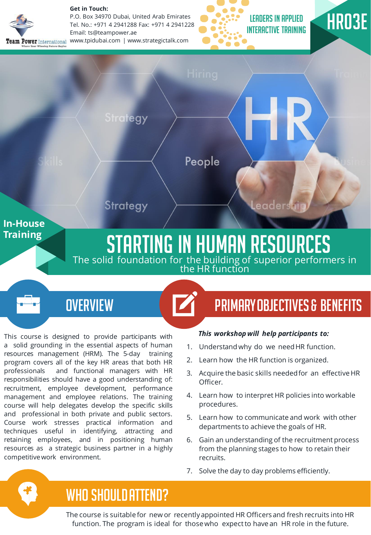

**Get in Touch:** 

P.O. Box 34970 Dubai, United Arab Emirates Tel. No.: +971 4 2941288 Fax: +971 4 2941228 Email: ts@teampower.ae www.tpidubai.com | www.strategictalk.com







This course is designed to provide participants with a solid grounding in the essential aspects of human resources management (HRM). The 5-day training program covers all of the key HR areas that both HR professionals and functional managers with HR responsibilities should have a good understanding of: recruitment, employee development, performance management and employee relations. The training course will help delegates develop the specific skills and professional in both private and public sectors. Course work stresses practical information and techniques useful in identifying, attracting and retaining employees, and in positioning human resources as a strategic business partner in a highly competitivework environment.

# OVERVIEW **PRIMARY OBJECTIVES & BENEFITS**

#### *This workshop will help participants to:*

- 1. Understand why do we needHR function.
- 2. Learn how the HR function is organized.
- 3. Acquire the basic skills neededfor an effective HR Officer.
- 4. Learn how to interpret HR policies into workable procedures.
- 5. Learn how to communicate and work with other departments to achieve the goals of HR.
- 6. Gain an understanding of the recruitment process from the planning stages to how to retain their recruits.
- 7. Solve the day to day problems efficiently.

## WHO SHOULD ATTEND?

The course is suitable for new or recentlyappointed HR Officers and fresh recruits into HR function. The program is ideal for thosewho expectto have an HR role in the future.